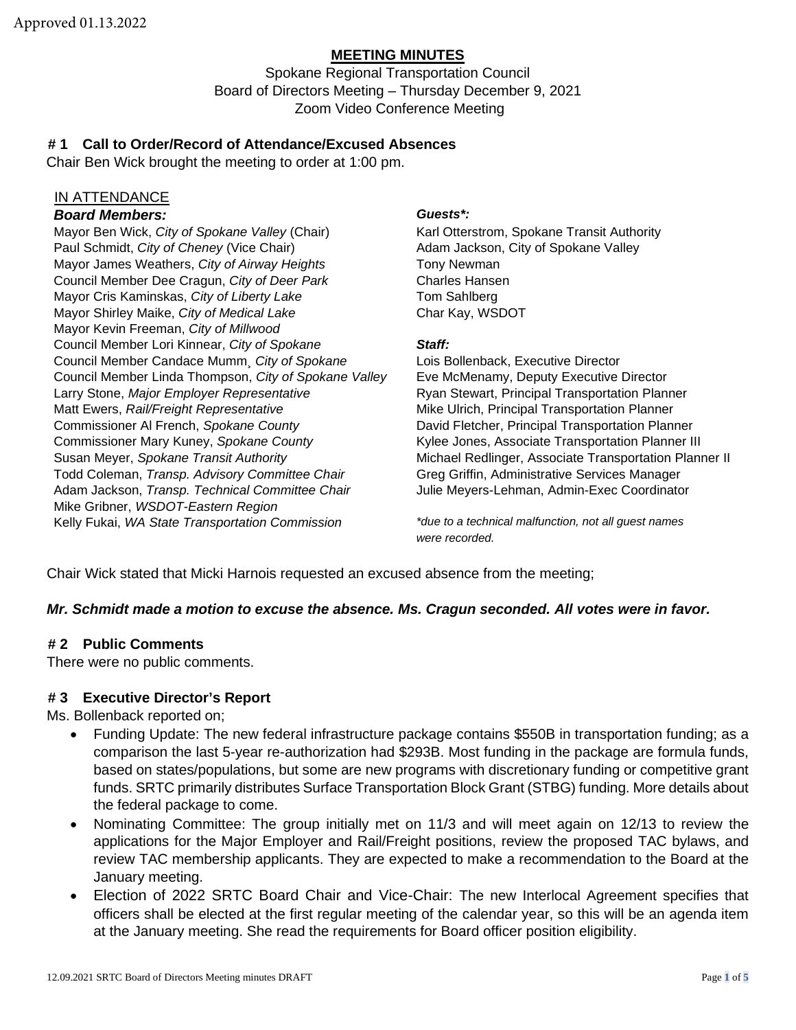## **MEETING MINUTES**

Spokane Regional Transportation Council Board of Directors Meeting – Thursday December 9, 2021 Zoom Video Conference Meeting

## **# 1 Call to Order/Record of Attendance/Excused Absences**

Chair Ben Wick brought the meeting to order at 1:00 pm.

#### IN ATTENDANCE

## *Board Members: Guests\*:*

Mayor Ben Wick, *City of Spokane Valley* (Chair) Karl Otterstrom, Spokane Transit Authority Paul Schmidt, *City of Cheney* (Vice Chair) **Adam Jackson, City of Spokane Valley** Adam Jackson, City of Spokane Valley Mayor James Weathers, *City of Airway Heights* Tony Newman Council Member Dee Cragun, *City of Deer Park* Charles Hansen Mayor Cris Kaminskas, *City of Liberty Lake* Tom Sahlberg Mayor Shirley Maike, *City of Medical Lake* Char Kay, WSDOT Mayor Kevin Freeman, *City of Millwood* Council Member Lori Kinnear, *City of Spokane Staff:*  Council Member Candace Mumm¸ *City of Spokane* Lois Bollenback, Executive Director Council Member Linda Thompson, *City of Spokane Valley* Eve McMenamy, Deputy Executive Director Larry Stone, *Major Employer Representative* Ryan Stewart, Principal Transportation Planner Matt Ewers, *Rail/Freight Representative* Mike Ulrich, Principal Transportation Planner Commissioner Al French, *Spokane County* David Fletcher, Principal Transportation Planner Commissioner Mary Kuney, *Spokane County* Kylee Jones, Associate Transportation Planner III Susan Meyer, Spokane Transit Authority **Michael Redlinger**, Associate Transportation Planner II Todd Coleman, *Transp. Advisory Committee Chair* Greg Griffin, Administrative Services Manager Adam Jackson, *Transp. Technical Committee Chair* Julie Meyers-Lehman, Admin-Exec Coordinator Mike Gribner, *WSDOT-Eastern Region* Kelly Fukai, *WA State Transportation Commission \*due to a technical malfunction, not all guest names*

*were recorded.*

Chair Wick stated that Micki Harnois requested an excused absence from the meeting;

## *Mr. Schmidt made a motion to excuse the absence. Ms. Cragun seconded. All votes were in favor.*

#### **# 2 Public Comments**

There were no public comments.

#### **# 3 Executive Director's Report**

Ms. Bollenback reported on;

- Funding Update: The new federal infrastructure package contains \$550B in transportation funding; as a comparison the last 5-year re-authorization had \$293B. Most funding in the package are formula funds, based on states/populations, but some are new programs with discretionary funding or competitive grant funds. SRTC primarily distributes Surface Transportation Block Grant (STBG) funding. More details about the federal package to come.
- Nominating Committee: The group initially met on 11/3 and will meet again on 12/13 to review the applications for the Major Employer and Rail/Freight positions, review the proposed TAC bylaws, and review TAC membership applicants. They are expected to make a recommendation to the Board at the January meeting.
- Election of 2022 SRTC Board Chair and Vice-Chair: The new Interlocal Agreement specifies that officers shall be elected at the first regular meeting of the calendar year, so this will be an agenda item at the January meeting. She read the requirements for Board officer position eligibility.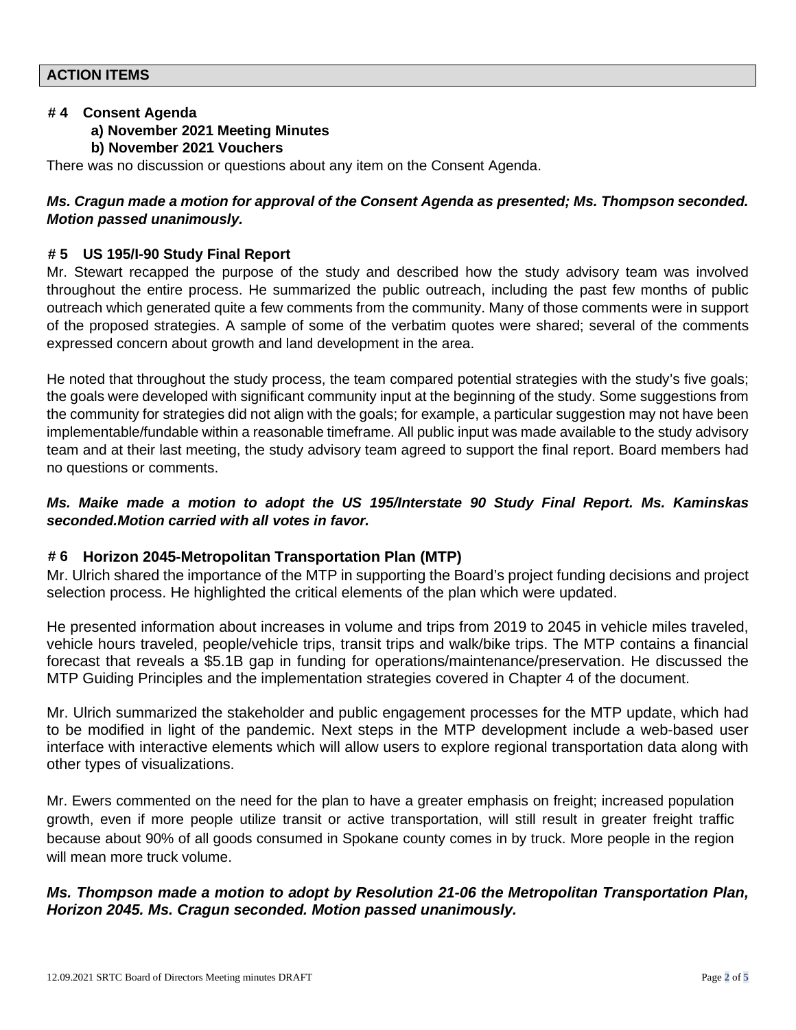#### **# 4 Consent Agenda**

#### **a) November 2021 Meeting Minutes**

#### **b) November 2021 Vouchers**

There was no discussion or questions about any item on the Consent Agenda.

## *Ms. Cragun made a motion for approval of the Consent Agenda as presented; Ms. Thompson seconded. Motion passed unanimously.*

#### **# 5 US 195/I-90 Study Final Report**

Mr. Stewart recapped the purpose of the study and described how the study advisory team was involved throughout the entire process. He summarized the public outreach, including the past few months of public outreach which generated quite a few comments from the community. Many of those comments were in support of the proposed strategies. A sample of some of the verbatim quotes were shared; several of the comments expressed concern about growth and land development in the area.

He noted that throughout the study process, the team compared potential strategies with the study's five goals; the goals were developed with significant community input at the beginning of the study. Some suggestions from the community for strategies did not align with the goals; for example, a particular suggestion may not have been implementable/fundable within a reasonable timeframe. All public input was made available to the study advisory team and at their last meeting, the study advisory team agreed to support the final report. Board members had no questions or comments.

## *Ms. Maike made a motion to adopt the US 195/Interstate 90 Study Final Report. Ms. Kaminskas seconded.Motion carried with all votes in favor.*

## **# 6 Horizon 2045-Metropolitan Transportation Plan (MTP)**

Mr. Ulrich shared the importance of the MTP in supporting the Board's project funding decisions and project selection process. He highlighted the critical elements of the plan which were updated.

He presented information about increases in volume and trips from 2019 to 2045 in vehicle miles traveled, vehicle hours traveled, people/vehicle trips, transit trips and walk/bike trips. The MTP contains a financial forecast that reveals a \$5.1B gap in funding for operations/maintenance/preservation. He discussed the MTP Guiding Principles and the implementation strategies covered in Chapter 4 of the document.

Mr. Ulrich summarized the stakeholder and public engagement processes for the MTP update, which had to be modified in light of the pandemic. Next steps in the MTP development include a web-based user interface with interactive elements which will allow users to explore regional transportation data along with other types of visualizations.

Mr. Ewers commented on the need for the plan to have a greater emphasis on freight; increased population growth, even if more people utilize transit or active transportation, will still result in greater freight traffic because about 90% of all goods consumed in Spokane county comes in by truck. More people in the region will mean more truck volume.

## *Ms. Thompson made a motion to adopt by Resolution 21-06 the Metropolitan Transportation Plan, Horizon 2045. Ms. Cragun seconded. Motion passed unanimously.*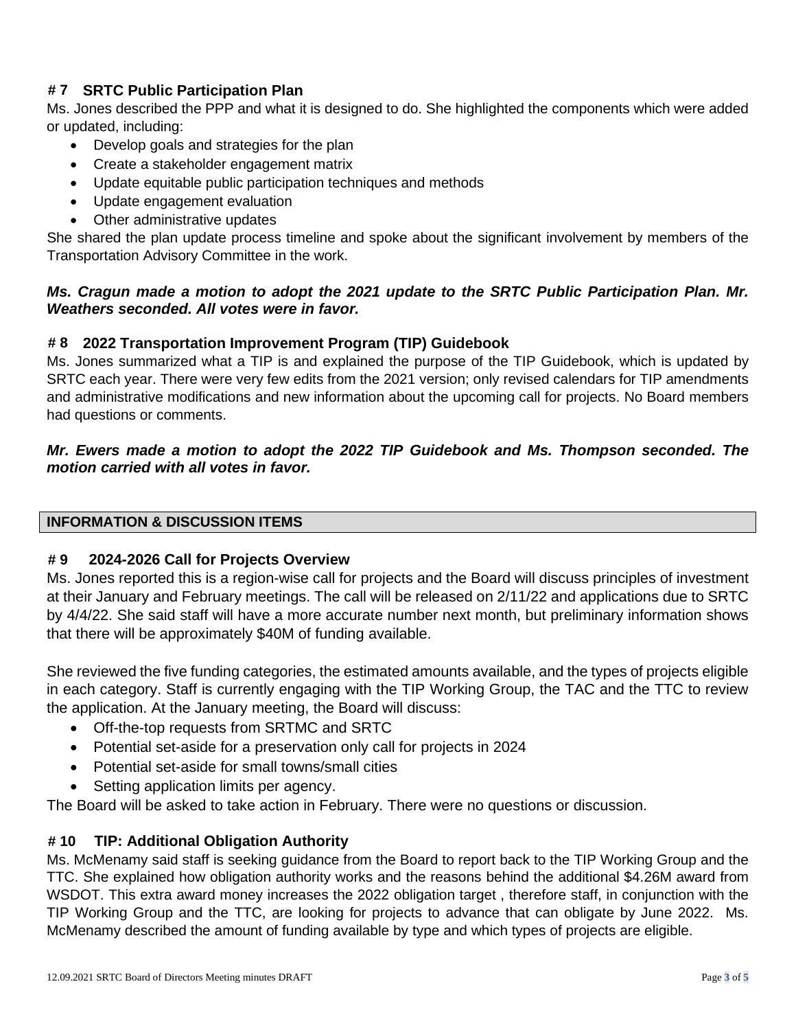# **# 7 SRTC Public Participation Plan**

Ms. Jones described the PPP and what it is designed to do. She highlighted the components which were added or updated, including:

- Develop goals and strategies for the plan
- Create a stakeholder engagement matrix
- Update equitable public participation techniques and methods
- Update engagement evaluation
- Other administrative updates

She shared the plan update process timeline and spoke about the significant involvement by members of the Transportation Advisory Committee in the work.

## *Ms. Cragun made a motion to adopt the 2021 update to the SRTC Public Participation Plan. Mr. Weathers seconded. All votes were in favor.*

## **# 8 2022 Transportation Improvement Program (TIP) Guidebook**

Ms. Jones summarized what a TIP is and explained the purpose of the TIP Guidebook, which is updated by SRTC each year. There were very few edits from the 2021 version; only revised calendars for TIP amendments and administrative modifications and new information about the upcoming call for projects. No Board members had questions or comments.

# *Mr. Ewers made a motion to adopt the 2022 TIP Guidebook and Ms. Thompson seconded. The motion carried with all votes in favor.*

## **INFORMATION & DISCUSSION ITEMS**

## **# 9 2024-2026 Call for Projects Overview**

Ms. Jones reported this is a region-wise call for projects and the Board will discuss principles of investment at their January and February meetings. The call will be released on 2/11/22 and applications due to SRTC by 4/4/22. She said staff will have a more accurate number next month, but preliminary information shows that there will be approximately \$40M of funding available.

She reviewed the five funding categories, the estimated amounts available, and the types of projects eligible in each category. Staff is currently engaging with the TIP Working Group, the TAC and the TTC to review the application. At the January meeting, the Board will discuss:

- Off-the-top requests from SRTMC and SRTC
- Potential set-aside for a preservation only call for projects in 2024
- Potential set-aside for small towns/small cities
- Setting application limits per agency.

The Board will be asked to take action in February. There were no questions or discussion.

# **# 10 TIP: Additional Obligation Authority**

Ms. McMenamy said staff is seeking guidance from the Board to report back to the TIP Working Group and the TTC. She explained how obligation authority works and the reasons behind the additional \$4.26M award from WSDOT. This extra award money increases the 2022 obligation target , therefore staff, in conjunction with the TIP Working Group and the TTC, are looking for projects to advance that can obligate by June 2022. Ms. McMenamy described the amount of funding available by type and which types of projects are eligible.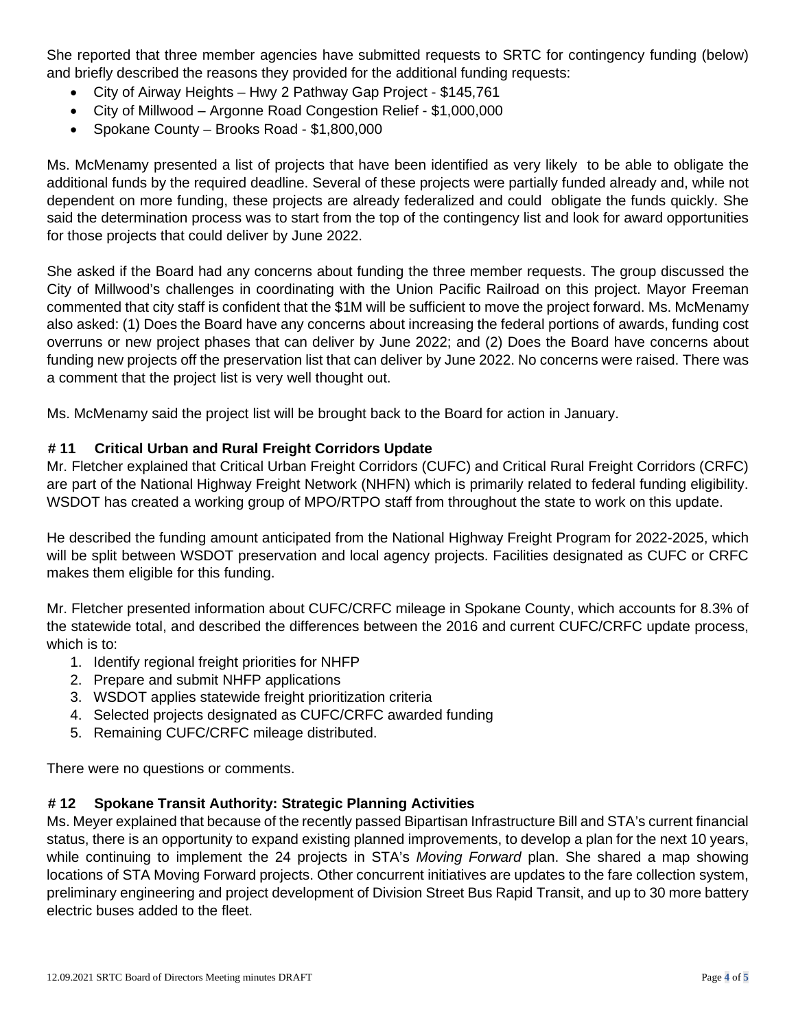She reported that three member agencies have submitted requests to SRTC for contingency funding (below) and briefly described the reasons they provided for the additional funding requests:

- City of Airway Heights Hwy 2 Pathway Gap Project \$145,761
- City of Millwood Argonne Road Congestion Relief \$1,000,000
- Spokane County Brooks Road \$1,800,000

Ms. McMenamy presented a list of projects that have been identified as very likely to be able to obligate the additional funds by the required deadline. Several of these projects were partially funded already and, while not dependent on more funding, these projects are already federalized and could obligate the funds quickly. She said the determination process was to start from the top of the contingency list and look for award opportunities for those projects that could deliver by June 2022.

She asked if the Board had any concerns about funding the three member requests. The group discussed the City of Millwood's challenges in coordinating with the Union Pacific Railroad on this project. Mayor Freeman commented that city staff is confident that the \$1M will be sufficient to move the project forward. Ms. McMenamy also asked: (1) Does the Board have any concerns about increasing the federal portions of awards, funding cost overruns or new project phases that can deliver by June 2022; and (2) Does the Board have concerns about funding new projects off the preservation list that can deliver by June 2022. No concerns were raised. There was a comment that the project list is very well thought out.

Ms. McMenamy said the project list will be brought back to the Board for action in January.

# **# 11 Critical Urban and Rural Freight Corridors Update**

Mr. Fletcher explained that Critical Urban Freight Corridors (CUFC) and Critical Rural Freight Corridors (CRFC) are part of the National Highway Freight Network (NHFN) which is primarily related to federal funding eligibility. WSDOT has created a working group of MPO/RTPO staff from throughout the state to work on this update.

He described the funding amount anticipated from the National Highway Freight Program for 2022-2025, which will be split between WSDOT preservation and local agency projects. Facilities designated as CUFC or CRFC makes them eligible for this funding.

Mr. Fletcher presented information about CUFC/CRFC mileage in Spokane County, which accounts for 8.3% of the statewide total, and described the differences between the 2016 and current CUFC/CRFC update process, which is to:

- 1. Identify regional freight priorities for NHFP
- 2. Prepare and submit NHFP applications
- 3. WSDOT applies statewide freight prioritization criteria
- 4. Selected projects designated as CUFC/CRFC awarded funding
- 5. Remaining CUFC/CRFC mileage distributed.

There were no questions or comments.

# **# 12 Spokane Transit Authority: Strategic Planning Activities**

Ms. Meyer explained that because of the recently passed Bipartisan Infrastructure Bill and STA's current financial status, there is an opportunity to expand existing planned improvements, to develop a plan for the next 10 years, while continuing to implement the 24 projects in STA's *Moving Forward* plan. She shared a map showing locations of STA Moving Forward projects. Other concurrent initiatives are updates to the fare collection system, preliminary engineering and project development of Division Street Bus Rapid Transit, and up to 30 more battery electric buses added to the fleet.